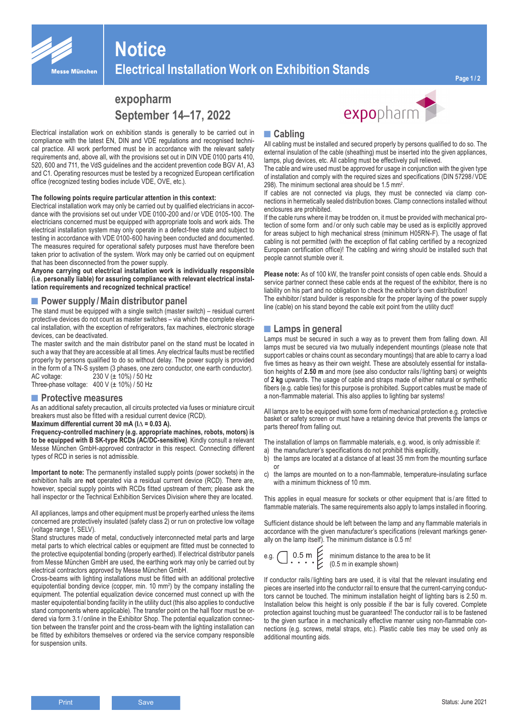

# **Notice Electrical Installation Work on Exhibition Stands**

**Page 1 / 2**

# **expopharm September 14–17, 2022**

Electrical installation work on exhibition stands is generally to be carried out in compliance with the latest EN, DIN and VDE regulations and recognised technical practice. All work performed must be in accordance with the relevant safety requirements and, above all, with the provisions set out in DIN VDE 0100 parts 410, 520, 600 and 711, the VdS guidelines and the accident prevention code BGV A1, A3 and C1. Operating resources must be tested by a recognized European certification office (recognized testing bodies include VDE, OVE, etc.).

#### **The following points require particular attention in this context:**

Electrical installation work may only be carried out by qualified electricians in accordance with the provisions set out under VDE 0100-200 and / or VDE 0105-100. The electricians concerned must be equipped with appropriate tools and work aids. The electrical installation system may only operate in a defect-free state and subject to testing in accordance with VDE 0100-600 having been conducted and documented. The measures required for operational safety purposes must have therefore been taken prior to activation of the system. Work may only be carried out on equipment that has been disconnected from the power supply.

**Anyone carrying out electrical installation work is individually responsible (i.e. personally liable) for assuring compliance with relevant electrical installation requirements and recognized technical practice!**

## **■Power supply /Main distributor panel**

The stand must be equipped with a single switch (master switch) – residual current protective devices do not count as master switches – via which the complete electrical installation, with the exception of refrigerators, fax machines, electronic storage devices, can be deactivated.

The master switch and the main distributor panel on the stand must be located in such a way that they are accessible at all times. Any electrical faults must be rectified properly by persons qualified to do so without delay. The power supply is provided in the form of a TN-S system (3 phases, one zero conductor, one earth conductor). AC voltage: 230 V (± 10%) / 50 Hz

# Three-phase voltage:  $400 \text{ V}$  ( $\pm 10\%$ ) / 50 Hz

### **■Protective measures**

As an additional safety precaution, all circuits protected via fuses or miniature circuit breakers must also be fitted with a residual current device (RCD).

#### **Maximum differential current 30 mA (I**∆ **= 0.03 A). Frequency-controlled machinery (e.g. appropriate machines, robots, motors) is to be equipped with B SK-type RCDs (AC/DC-sensitive)**. Kindly consult a relevant Messe München GmbH-approved contractor in this respect. Connecting different types of RCD in series is not admissible.

**Important to note:** The permanently installed supply points (power sockets) in the exhibition halls are **not** operated via a residual current device (RCD). There are, however, special supply points with RCDs fitted upstream of them; please ask the hall inspector or the Technical Exhibition Services Division where they are located.

All appliances, lamps and other equipment must be properly earthed unless the items concerned are protectively insulated (safety class 2) or run on protective low voltage (voltage range 1, SELV).

Stand structures made of metal, conductively interconnected metal parts and large metal parts to which electrical cables or equipment are fitted must be connected to the protective equipotential bonding (properly earthed). If electrical distributor panels from Messe München GmbH are used, the earthing work may only be carried out by electrical contractors approved by Messe München GmbH.

Cross-beams with lighting installations must be fitted with an additional protective equipotential bonding device (copper, min. 10 mm<sup>2</sup>) by the company installing the equipment. The potential equalization device concerned must connect up with the master equipotential bonding facility in the utility duct (this also applies to conductive stand components where applicable). The transfer point on the hall floor must be ordered via form 3.1/ online in the Exhibitor Shop. The potential equalization connection between the transfer point and the cross-beam with the lighting installation can be fitted by exhibitors themselves or ordered via the service company responsible for suspension units.

# **■Cabling**

All cabling must be installed and secured properly by persons qualified to do so. The external insulation of the cable (sheathing) must be inserted into the given appliances, lamps, plug devices, etc. All cabling must be effectively pull relieved.

expopharm

The cable and wire used must be approved for usage in conjunction with the given type of installation and comply with the required sizes and specifications (DIN 57298 /VDE 298). The minimum sectional area should be 1.5 mm<sup>2</sup>.

If cables are not connected via plugs, they must be connected via clamp connections in hermetically sealed distribution boxes. Clamp connections installed without enclosures are prohibited.

If the cable runs where it may be trodden on, it must be provided with mechanical protection of some form and/or only such cable may be used as is explicitly approved for areas subject to high mechanical stress (minimum H05RN-F). The usage of flat cabling is not permitted (with the exception of flat cabling certified by a recognized European certification office)! The cabling and wiring should be installed such that people cannot stumble over it.

**Please note:** As of 100 kW, the transfer point consists of open cable ends. Should a service partner connect these cable ends at the request of the exhibitor, there is no liability on his part and no obligation to check the exhibitor's own distribution! The exhibitor/ stand builder is responsible for the proper laying of the power supply line (cable) on his stand beyond the cable exit point from the utility duct!

## **■Lamps in general**

Lamps must be secured in such a way as to prevent them from falling down. All lamps must be secured via two mutually independent mountings (please note that support cables or chains count as secondary mountings) that are able to carry a load five times as heavy as their own weight. These are absolutely essential for installation heights of **2.50 m** and more (see also conductor rails / lighting bars) or weights of **2 kg** upwards. The usage of cable and straps made of either natural or synthetic fibers (e.g. cable ties) for this purpose is prohibited. Support cables must be made of a non-flammable material. This also applies to lighting bar systems!

All lamps are to be equipped with some form of mechanical protection e.g. protective basket or safety screen or must have a retaining device that prevents the lamps or parts thereof from falling out.

The installation of lamps on flammable materials, e.g. wood, is only admissible if:

- a) the manufacturer's specifications do not prohibit this explicitly,
- b) the lamps are located at a distance of at least 35 mm from the mounting surface or
- c) the lamps are mounted on to a non-flammable, temperature-insulating surface with a minimum thickness of 10 mm.

This applies in equal measure for sockets or other equipment that is / are fitted to flammable materials. The same requirements also apply to lamps installed in flooring.

Sufficient distance should be left between the lamp and any flammable materials in accordance with the given manufacturer's specifications (relevant markings generally on the lamp itself). The minimum distance is 0.5 m!

g. 
$$
\bigcap .0.5 \text{ m.}
$$
 minimum of 0.5 m in the

e.g.  $\bigcap$  0.5 m  $\bigcup$  minimum distance to the area to be lit example shown)

If conductor rails / lighting bars are used, it is vital that the relevant insulating end pieces are inserted into the conductor rail to ensure that the current-carrying conductors cannot be touched. The minimum installation height of lighting bars is 2.50 m. Installation below this height is only possible if the bar is fully covered. Complete protection against touching must be guaranteed! The conductor rail is to be fastened to the given surface in a mechanically effective manner using non-flammable connections (e.g. screws, metal straps, etc.). Plastic cable ties may be used only as additional mounting aids.